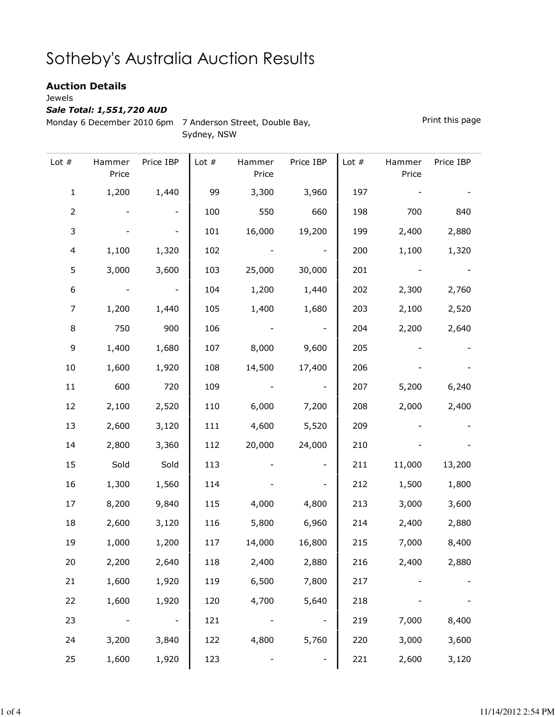## Sotheby's Australia Auction Results

## Auction Details

Jewels

## Sale Total: 1,551,720 AUD

Monday 6 December 2010 6pm 7 Anderson Street, Double Bay, Sydney, NSW

Print this page

| Lot $#$          | Hammer<br>Price | Price IBP                | Lot $#$ | Hammer<br>Price | Price IBP                | Lot $#$ | Hammer<br>Price | Price IBP |
|------------------|-----------------|--------------------------|---------|-----------------|--------------------------|---------|-----------------|-----------|
| $\mathbf 1$      | 1,200           | 1,440                    | 99      | 3,300           | 3,960                    | 197     |                 |           |
| $\overline{2}$   |                 | -                        | 100     | 550             | 660                      | 198     | 700             | 840       |
| 3                |                 |                          | 101     | 16,000          | 19,200                   | 199     | 2,400           | 2,880     |
| $\overline{4}$   | 1,100           | 1,320                    | 102     |                 |                          | 200     | 1,100           | 1,320     |
| 5                | 3,000           | 3,600                    | 103     | 25,000          | 30,000                   | 201     |                 |           |
| $\boldsymbol{6}$ |                 |                          | 104     | 1,200           | 1,440                    | 202     | 2,300           | 2,760     |
| 7                | 1,200           | 1,440                    | 105     | 1,400           | 1,680                    | 203     | 2,100           | 2,520     |
| 8                | 750             | 900                      | 106     |                 | $\overline{\phantom{a}}$ | 204     | 2,200           | 2,640     |
| 9                | 1,400           | 1,680                    | 107     | 8,000           | 9,600                    | 205     |                 |           |
| $10\,$           | 1,600           | 1,920                    | 108     | 14,500          | 17,400                   | 206     |                 |           |
| 11               | 600             | 720                      | 109     |                 |                          | 207     | 5,200           | 6,240     |
| 12               | 2,100           | 2,520                    | 110     | 6,000           | 7,200                    | 208     | 2,000           | 2,400     |
| 13               | 2,600           | 3,120                    | 111     | 4,600           | 5,520                    | 209     |                 |           |
| 14               | 2,800           | 3,360                    | 112     | 20,000          | 24,000                   | 210     |                 |           |
| 15               | Sold            | Sold                     | 113     |                 |                          | 211     | 11,000          | 13,200    |
| 16               | 1,300           | 1,560                    | 114     |                 |                          | 212     | 1,500           | 1,800     |
| 17               | 8,200           | 9,840                    | 115     | 4,000           | 4,800                    | 213     | 3,000           | 3,600     |
| 18               | 2,600           | 3,120                    | 116     | 5,800           | 6,960                    | 214     | 2,400           | 2,880     |
| 19               | 1,000           | 1,200                    | 117     | 14,000          | 16,800                   | 215     | 7,000           | 8,400     |
| 20               | 2,200           | 2,640                    | 118     | 2,400           | 2,880                    | 216     | 2,400           | 2,880     |
| 21               | 1,600           | 1,920                    | 119     | 6,500           | 7,800                    | 217     |                 |           |
| 22               | 1,600           | 1,920                    | 120     | 4,700           | 5,640                    | 218     |                 |           |
| 23               |                 | $\overline{\phantom{a}}$ | 121     |                 | $\overline{\phantom{a}}$ | 219     | 7,000           | 8,400     |
| 24               | 3,200           | 3,840                    | 122     | 4,800           | 5,760                    | 220     | 3,000           | 3,600     |
| 25               | 1,600           | 1,920                    | 123     |                 |                          | 221     | 2,600           | 3,120     |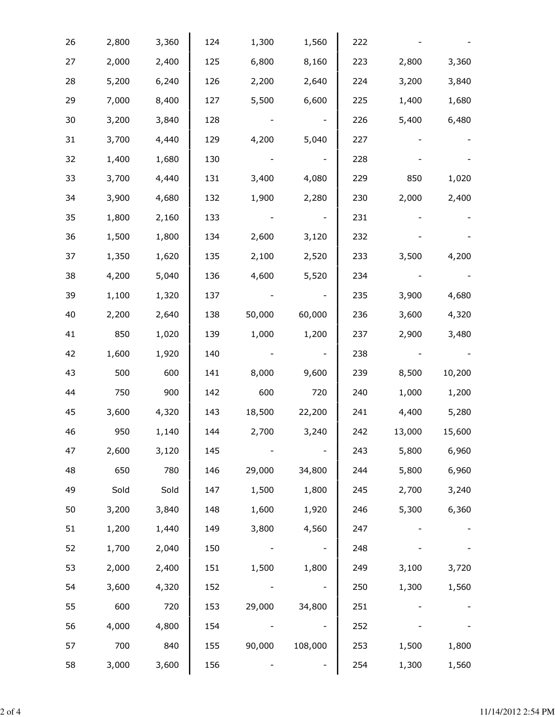| 26 | 2,800 | 3,360 | 124 | 1,300  | 1,560   | 222 |        |        |
|----|-------|-------|-----|--------|---------|-----|--------|--------|
| 27 | 2,000 | 2,400 | 125 | 6,800  | 8,160   | 223 | 2,800  | 3,360  |
| 28 | 5,200 | 6,240 | 126 | 2,200  | 2,640   | 224 | 3,200  | 3,840  |
| 29 | 7,000 | 8,400 | 127 | 5,500  | 6,600   | 225 | 1,400  | 1,680  |
| 30 | 3,200 | 3,840 | 128 |        |         | 226 | 5,400  | 6,480  |
| 31 | 3,700 | 4,440 | 129 | 4,200  | 5,040   | 227 |        |        |
| 32 | 1,400 | 1,680 | 130 |        |         | 228 |        |        |
| 33 | 3,700 | 4,440 | 131 | 3,400  | 4,080   | 229 | 850    | 1,020  |
| 34 | 3,900 | 4,680 | 132 | 1,900  | 2,280   | 230 | 2,000  | 2,400  |
| 35 | 1,800 | 2,160 | 133 |        |         | 231 |        |        |
| 36 | 1,500 | 1,800 | 134 | 2,600  | 3,120   | 232 |        |        |
| 37 | 1,350 | 1,620 | 135 | 2,100  | 2,520   | 233 | 3,500  | 4,200  |
| 38 | 4,200 | 5,040 | 136 | 4,600  | 5,520   | 234 |        |        |
| 39 | 1,100 | 1,320 | 137 |        |         | 235 | 3,900  | 4,680  |
| 40 | 2,200 | 2,640 | 138 | 50,000 | 60,000  | 236 | 3,600  | 4,320  |
| 41 | 850   | 1,020 | 139 | 1,000  | 1,200   | 237 | 2,900  | 3,480  |
| 42 | 1,600 | 1,920 | 140 |        |         | 238 |        |        |
| 43 | 500   | 600   | 141 | 8,000  | 9,600   | 239 | 8,500  | 10,200 |
| 44 | 750   | 900   | 142 | 600    | 720     | 240 | 1,000  | 1,200  |
| 45 | 3,600 | 4,320 | 143 | 18,500 | 22,200  | 241 | 4,400  | 5,280  |
| 46 | 950   | 1,140 | 144 | 2,700  | 3,240   | 242 | 13,000 | 15,600 |
| 47 | 2,600 | 3,120 | 145 |        |         | 243 | 5,800  | 6,960  |
| 48 | 650   | 780   | 146 | 29,000 | 34,800  | 244 | 5,800  | 6,960  |
| 49 | Sold  | Sold  | 147 | 1,500  | 1,800   | 245 | 2,700  | 3,240  |
| 50 | 3,200 | 3,840 | 148 | 1,600  | 1,920   | 246 | 5,300  | 6,360  |
| 51 | 1,200 | 1,440 | 149 | 3,800  | 4,560   | 247 |        |        |
| 52 | 1,700 | 2,040 | 150 |        |         | 248 |        |        |
| 53 | 2,000 | 2,400 | 151 | 1,500  | 1,800   | 249 | 3,100  | 3,720  |
| 54 | 3,600 | 4,320 | 152 |        |         | 250 | 1,300  | 1,560  |
| 55 | 600   | 720   | 153 | 29,000 | 34,800  | 251 |        |        |
| 56 | 4,000 | 4,800 | 154 |        |         | 252 |        |        |
| 57 | 700   | 840   | 155 | 90,000 | 108,000 | 253 | 1,500  | 1,800  |
| 58 | 3,000 | 3,600 | 156 |        |         | 254 | 1,300  | 1,560  |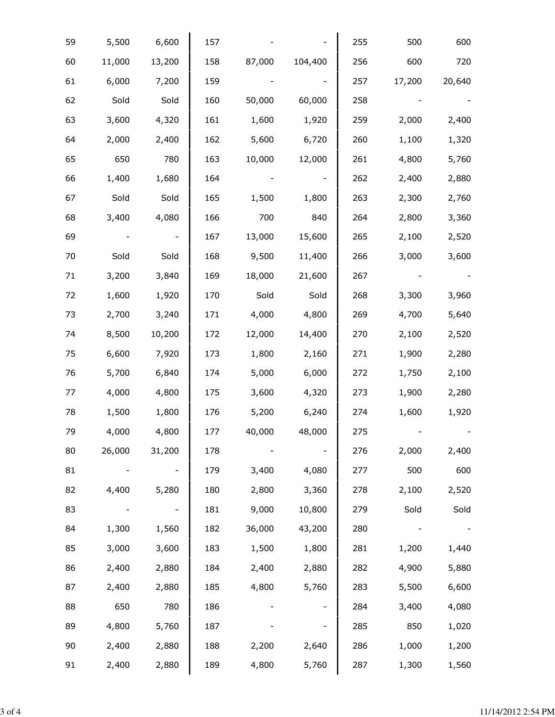| 59     | 5,500  | 6,600  | 157 |        |         | 255 | 500    | 600    |
|--------|--------|--------|-----|--------|---------|-----|--------|--------|
| 60     | 11,000 | 13,200 | 158 | 87,000 | 104,400 | 256 | 600    | 720    |
| 61     | 6,000  | 7,200  | 159 |        |         | 257 | 17,200 | 20,640 |
| 62     | Sold   | Sold   | 160 | 50,000 | 60,000  | 258 |        |        |
| 63     | 3,600  | 4,320  | 161 | 1,600  | 1,920   | 259 | 2,000  | 2,400  |
| 64     | 2,000  | 2,400  | 162 | 5,600  | 6,720   | 260 | 1,100  | 1,320  |
| 65     | 650    | 780    | 163 | 10,000 | 12,000  | 261 | 4,800  | 5,760  |
| 66     | 1,400  | 1,680  | 164 |        |         | 262 | 2,400  | 2,880  |
| 67     | Sold   | Sold   | 165 | 1,500  | 1,800   | 263 | 2,300  | 2,760  |
| 68     | 3,400  | 4,080  | 166 | 700    | 840     | 264 | 2,800  | 3,360  |
| 69     |        |        | 167 | 13,000 | 15,600  | 265 | 2,100  | 2,520  |
| 70     | Sold   | Sold   | 168 | 9,500  | 11,400  | 266 | 3,000  | 3,600  |
| 71     | 3,200  | 3,840  | 169 | 18,000 | 21,600  | 267 |        |        |
| 72     | 1,600  | 1,920  | 170 | Sold   | Sold    | 268 | 3,300  | 3,960  |
| 73     | 2,700  | 3,240  | 171 | 4,000  | 4,800   | 269 | 4,700  | 5,640  |
| 74     | 8,500  | 10,200 | 172 | 12,000 | 14,400  | 270 | 2,100  | 2,520  |
| 75     | 6,600  | 7,920  | 173 | 1,800  | 2,160   | 271 | 1,900  | 2,280  |
| 76     | 5,700  | 6,840  | 174 | 5,000  | 6,000   | 272 | 1,750  | 2,100  |
| $77\,$ | 4,000  | 4,800  | 175 | 3,600  | 4,320   | 273 | 1,900  | 2,280  |
| 78     | 1,500  | 1,800  | 176 | 5,200  | 6,240   | 274 | 1,600  | 1,920  |
| 79     | 4,000  | 4,800  | 177 | 40,000 | 48,000  | 275 |        |        |
| 80     | 26,000 | 31,200 | 178 |        |         | 276 | 2,000  | 2,400  |
| 81     |        |        | 179 | 3,400  | 4,080   | 277 | 500    | 600    |
| 82     | 4,400  | 5,280  | 180 | 2,800  | 3,360   | 278 | 2,100  | 2,520  |
| 83     |        |        | 181 | 9,000  | 10,800  | 279 | Sold   | Sold   |
| 84     | 1,300  | 1,560  | 182 | 36,000 | 43,200  | 280 |        |        |
| 85     | 3,000  | 3,600  | 183 | 1,500  | 1,800   | 281 | 1,200  | 1,440  |
| 86     | 2,400  | 2,880  | 184 | 2,400  | 2,880   | 282 | 4,900  | 5,880  |
| 87     | 2,400  | 2,880  | 185 | 4,800  | 5,760   | 283 | 5,500  | 6,600  |
| 88     | 650    | 780    | 186 |        |         | 284 | 3,400  | 4,080  |
| 89     | 4,800  | 5,760  | 187 |        |         | 285 | 850    | 1,020  |
| 90     | 2,400  | 2,880  | 188 | 2,200  | 2,640   | 286 | 1,000  | 1,200  |
| 91     | 2,400  | 2,880  | 189 | 4,800  | 5,760   | 287 | 1,300  | 1,560  |